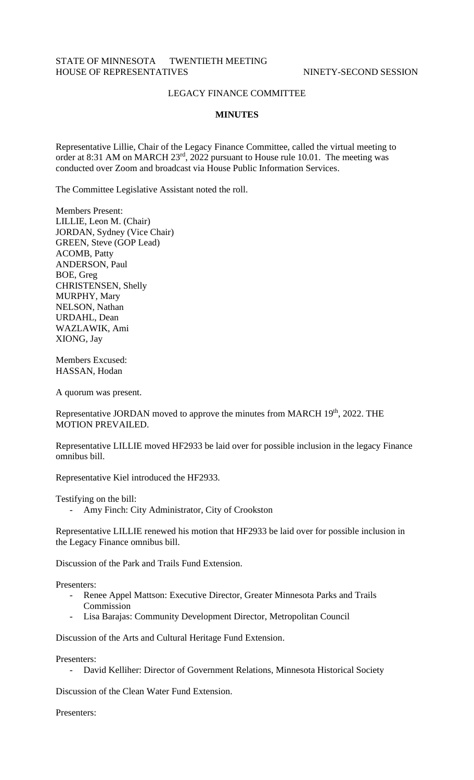## STATE OF MINNESOTA TWENTIETH MEETING HOUSE OF REPRESENTATIVES NINETY-SECOND SESSION

## LEGACY FINANCE COMMITTEE

## **MINUTES**

Representative Lillie, Chair of the Legacy Finance Committee, called the virtual meeting to order at 8:31 AM on MARCH 23rd, 2022 pursuant to House rule 10.01. The meeting was conducted over Zoom and broadcast via House Public Information Services.

The Committee Legislative Assistant noted the roll.

Members Present: LILLIE, Leon M. (Chair) JORDAN, Sydney (Vice Chair) GREEN, Steve (GOP Lead) ACOMB, Patty ANDERSON, Paul BOE, Greg CHRISTENSEN, Shelly MURPHY, Mary NELSON, Nathan URDAHL, Dean WAZLAWIK, Ami XIONG, Jay

Members Excused: HASSAN, Hodan

A quorum was present.

Representative JORDAN moved to approve the minutes from MARCH 19<sup>th</sup>, 2022. THE MOTION PREVAILED.

Representative LILLIE moved HF2933 be laid over for possible inclusion in the legacy Finance omnibus bill.

Representative Kiel introduced the HF2933.

Testifying on the bill:

- Amy Finch: City Administrator, City of Crookston

Representative LILLIE renewed his motion that HF2933 be laid over for possible inclusion in the Legacy Finance omnibus bill.

Discussion of the Park and Trails Fund Extension.

Presenters:

- Renee Appel Mattson: Executive Director, Greater Minnesota Parks and Trails Commission
- Lisa Barajas: Community Development Director, Metropolitan Council

Discussion of the Arts and Cultural Heritage Fund Extension.

Presenters:

- David Kelliher: Director of Government Relations, Minnesota Historical Society

Discussion of the Clean Water Fund Extension.

Presenters: